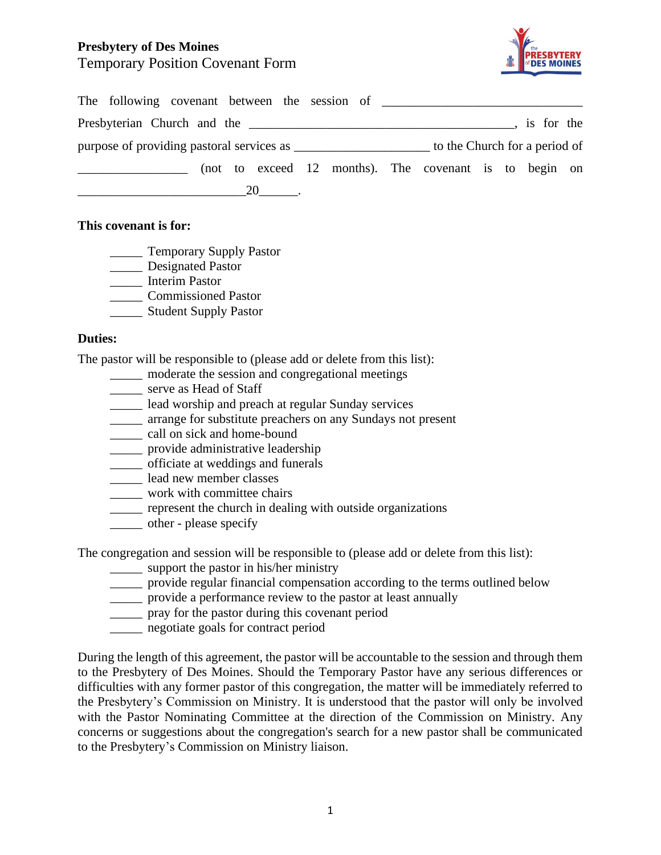## **Presbytery of Des Moines** Temporary Position Covenant Form



|  |  |  |  |  |  |  |  |  |  |  | Presbyterian Church and the                            |  | , is for the |  |
|--|--|--|--|--|--|--|--|--|--|--|--------------------------------------------------------|--|--------------|--|
|  |  |  |  |  |  |  |  |  |  |  |                                                        |  |              |  |
|  |  |  |  |  |  |  |  |  |  |  | (not to exceed 12 months). The covenant is to begin on |  |              |  |
|  |  |  |  |  |  |  |  |  |  |  |                                                        |  |              |  |

## **This covenant is for:**

- \_\_\_\_\_ Temporary Supply Pastor
- \_\_\_\_\_ Designated Pastor
- \_\_\_\_\_ Interim Pastor
- \_\_\_\_\_ Commissioned Pastor
- \_\_\_\_\_ Student Supply Pastor

## **Duties:**

The pastor will be responsible to (please add or delete from this list):

- \_\_\_\_\_ moderate the session and congregational meetings
- \_\_\_\_\_ serve as Head of Staff
- lead worship and preach at regular Sunday services
- \_\_\_\_\_ arrange for substitute preachers on any Sundays not present
- \_\_\_\_\_ call on sick and home-bound
- \_\_\_\_\_ provide administrative leadership
- \_\_\_\_\_ officiate at weddings and funerals
- \_\_\_\_\_ lead new member classes
- \_\_\_\_\_ work with committee chairs
- \_\_\_\_\_ represent the church in dealing with outside organizations
- \_\_\_\_\_ other please specify

The congregation and session will be responsible to (please add or delete from this list):

- \_\_\_\_\_ support the pastor in his/her ministry
- \_\_\_\_\_ provide regular financial compensation according to the terms outlined below
- \_\_\_\_\_ provide a performance review to the pastor at least annually
- \_\_\_\_\_ pray for the pastor during this covenant period
- \_\_\_\_\_ negotiate goals for contract period

During the length of this agreement, the pastor will be accountable to the session and through them to the Presbytery of Des Moines. Should the Temporary Pastor have any serious differences or difficulties with any former pastor of this congregation, the matter will be immediately referred to the Presbytery's Commission on Ministry. It is understood that the pastor will only be involved with the Pastor Nominating Committee at the direction of the Commission on Ministry. Any concerns or suggestions about the congregation's search for a new pastor shall be communicated to the Presbytery's Commission on Ministry liaison.